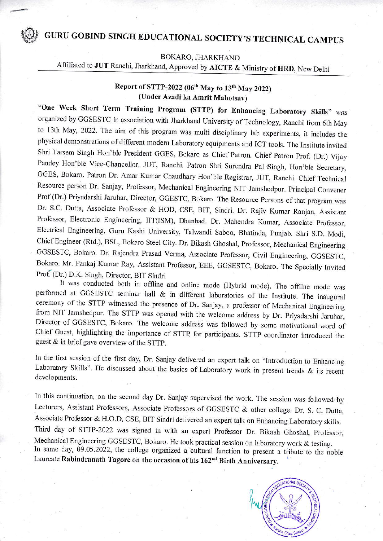# GURU GOBIND SINGH EDUCATIONAL SOCIETY'S TECHNICAL CAMPUS

### BOKARO, JHARKHAND

Affiliated to JUT Ranchi, Jharkhand, Approved by AICTE & Ministry of HRD, New Delhi

## Report of STTP-2022 (06<sup>th</sup> May to 13<sup>th</sup> May 2022) (Under Azadi ka Amrit Mahotsav)

"One Week Short Term Training Program (STTP) for Enhancing Laboratory Skills" was organized by GGSESTC in association with Jharkhand University of Technology, Ranchi from 6th May to 13th May, 2022. The aim of this program was multi disciplinary lab experiments, it includes the physical demonstrations of different modern Laboratory equipments and ICT tools. The Institute invited Shri Tarsem Singh Hon'ble President GGES, Bokaro as Chief Patron. Chief Patron Prof. (Dr.) Vijay Pandey Hon'ble Vice-Chancellor, JUT, Ranchi. Patron Shri Surendra Pal Singh, Hon'ble Secretary, GGES, Bokaro. Patron Dr. Amar Kumar Chaudhary Hon'ble Registrar, JUT, Ranchi. Chief Technical Resource person Dr. Sanjay, Professor, Mechanical Engineering NIT Jamshedpur. Principal Convener Prof (Dr.) Priyadarshi Jaruhar, Director, GGESTC, Bokaro. The Resource Persons of that program was Dr. S.C. Dutta, Associate Professor & HOD, CSE, BIT, Sindri. Dr. Rajiv Kumar Ranjan, Assistant Professor, Electronic Engineering, IIT(ISM), Dhanbad. Dr. Mahendra Kumar, Associate Professor, Electrical Engineering, Guru Kashi University, Talwandi Saboo, Bhatinda, Punjab. Shri S.D. Modi, Chief Engineer (Rtd.), BSL, Bokaro Steel City. Dr. Bikash Ghoshal, Professor, Mechanical Engineering GGSESTC, Bokaro. Dr. Rajendra Prasad Verma, Associate Professor, Civil Engineering, GGSESTC, Bokaro. Mr. Pankaj Kumar Ray, Assistant Professor, EEE, GGSESTC, Bokaro. The Specially Invited Prof. (Dr.) D.K. Singh, Director, BIT Sindri

It was conducted both in offline and online mode (Hybrid mode). The offline mode was performed at GGSESTC seminar hall & in different laboratories of the Institute. The inaugural ceremony of the STTP witnessed the presence of Dr. Sanjay, a professor of Mechanical Engineering from NIT Jamshedpur. The STTP was opened with the welcome address by Dr. Priyadarshi Jaruhar, Director of GGSESTC, Bokaro. The welcome address was followed by some motivational word of Chief Guest, highlighting the importance of STTP for participants. STTP coordinator introduced the guest & in brief gave overview of the STTP.

In the first session of the first day, Dr. Sanjay delivered an expert talk on "Introduction to Enhancing Laboratory Skills". He discussed about the basics of Laboratory work in present trends & its recent developments.

In this continuation, on the second day Dr. Sanjay supervised the work. The session was followed by Lecturers, Assistant Professors, Associate Professors of GGSESTC & other college. Dr. S. C. Dutta, Associate Professor & H.O.D, CSE, BIT Sindri delivered an expert talk on Enhancing Laboratory skills. Third day of STTP-2022 was signed in with an expert Professor Dr. Bikash Ghoshal, Professor, Mechanical Engineering GGSESTC, Bokaro. He took practical session on laboratory work & testing. In same day, 09.05.2022, the college organized a cultural function to present a tribute to the noble Laureate Rabindranath Tagore on the occasion of his 162<sup>nd</sup> Birth Anniversary.

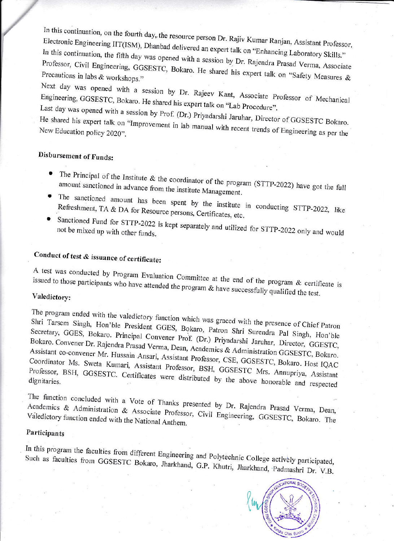In this continuation, on the fourth day, the resource person Dr. Rajiv Kumar Ranjan, Assistant Professor, Electronic Engineering IIT(ISM), Dhanbad delivered an expert talk on "Enhancing Laboratory Skills." In this continuation, the fifth day was opened with a session by Dr. Rajendra Prasad Verma, Associate

Professor, Civil Engineering, GGSESTC, Bokaro. He shared his expert talk on "Safety Measures & Precautions in labs & workshops."

Next day was opened with a session by Dr. Rajeev Kant, Associate Professor of Mechanical Engineering, GGSESTC, Bokaro. He shared his expert talk on "Lab Procedure".

Last day was opened with a session by Prof. (Dr.) Priyadarshi Jaruhar, Director of GGSESTC Bokaro. He shared his expert talk on "Improvement in lab manual with recent trends of Engineering as per the

## Disbursement of Funds:

- The Principal of the Institute & the coordinator of the program (STTP-2022) have got the full amount sanctioned in advance from the institute Management.
- The sanctioned amount has been spent by the institute in conducting STTP-2022, like Refreshment, TA & DA for Resource persons, Certificates, etc.
- Sanctioned Fund for STTP-2022 is kept separately and utilized for STTP-2022 only and would

## Conduct of test & issuance of certificate:

A test was conducted by Program Evaluation Committee at the end of the program & certificate is issued to those participants who have attended the program & have successfully qualified the test.

## Valedictory:

The program ended with the valedictory function which was graced with the presence of Chief Patron Shri Tarsem Singh, Hon'ble President GGES, Bokaro, Patron Shri Surendra Pal Singh, Hon'ble Secretary, GGES, Bokaro. Principal Convener Prof. (Dr.) Priyadarshi Jaruhar, Director, GGESTC, Bokaro. Convener Dr. Rajendra Prasad Verma, Dean, Academics & Administration GGSESTC, Bokaro. Assistant co-convener Mr. Hussain Ansari, Assistant Professor, CSE, GGSESTC, Bokaro. Host IQAC Coordinator Ms. Sweta Kumari, Assistant Professor, BSH, GGSESTC Mrs. Annupriya, Assistant Professor, BSH, GGSESTC. Certificates were distributed by the above honorable and respected

The function concluded with a Vote of Thanks presented by Dr. Rajendra Prasad Verma, Dean, Academics & Administration & Associate Professor, Civil Engineering, GGSESTC, Bokaro. The Valedictory function ended with the National Anthem.

### Participants

In this program the faculties from different Engineering and Polytechnic College actively participated, Such as faculties from GGSESTC Bokaro, Jharkhand, G.P. Khutri, Jharkhand, Padmashri Dr. V.B.